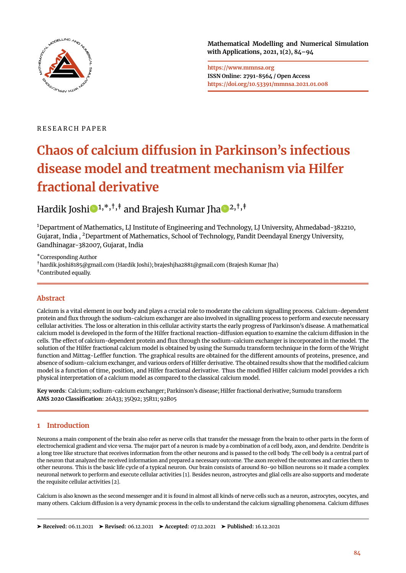

**Mathematical Modelling and Numerical Simulation with Applications, 2021, 1(2), 84[–94](#page-10-0)**

**https://www.mmnsa.org ISSN Online: 2791-8564 / Open Access https://doi.org/10.53391/mmnsa.2021.01.008**

# R E S E A R C H P A P E R

# **Chaos of calcium diffusion in Parkinson's infectious disease model and treatment mechanism via Hilfer fractional derivative**

Hard[i](https://orcid.org/0000-0003-2014-3765)k Joshi $\bigcirc$ <sup>1,\*,†,‡</sup> and Brajesh Kumar Jha $\bigcirc$ <sup>[2](https://orcid.org/0000-0001-9370-2949),†,‡</sup>

<sup>1</sup>Department of Mathematics, LJ Institute of Engineering and Technology, LJ University, Ahmedabad-382210, Gujarat, India , <sup>2</sup>Department of Mathematics, School of Technology, Pandit Deendayal Energy University, Gandhinagar-382007, Gujarat, India

\*Corresponding Author

†hardik.joshi8185@gmail.com (Hardik Joshi); brajeshjha2881@gmail.com (Brajesh Kumar Jha) ‡Contributed equally.

# **Abstract**

Calcium is a vital element in our body and plays a crucial role to moderate the calcium signalling process. Calcium-dependent protein and flux through the sodium-calcium exchanger are also involved in signalling process to perform and execute necessary cellular activities. The loss or alteration in this cellular activity starts the early progress of Parkinson's disease. A mathematical calcium model is developed in the form of the Hilfer fractional reaction-diffusion equation to examine the calcium diffusion in the cells. The effect of calcium-dependent protein and flux through the sodium-calcium exchanger is incorporated in the model. The solution of the Hilfer fractional calcium model is obtained by using the Sumudu transform technique in the form of the Wright function and Mittag-Leffler function. The graphical results are obtained for the different amounts of proteins, presence, and absence of sodium-calcium exchanger, and various orders of Hilfer derivative. The obtained results show that the modified calcium model is a function of time, position, and Hilfer fractional derivative. Thus the modified Hilfer calcium model provides a rich physical interpretation of a calcium model as compared to the classical calcium model.

**Key words**: Calcium; sodium-calcium exchanger; Parkinson's disease; Hilfer fractional derivative; Sumudu transform **AMS 2020 Classification**: 26A33; 35Q92; 35R11; 92B05

# **1 Introduction**

Neurons a main component of the brain also refer as nerve cells that transfer the message from the brain to other parts in the form of electrochemical gradient and vice versa. The major part of a neuron is made by a combination of a cell body, axon, and dendrite. Dendrite is a long tree like structure that receives information from the other neurons and is passed to the cell body. The cell body is a central part of the neuron that analyzed the received information and prepared a necessary outcome. The axon received the outcomes and carries them to other neurons. This is the basic life cycle of a typical neuron. Our brain consists of around 80-90 billion neurons so it made a complex neuronal network to perform and execute cellular activities [\[1\]](#page-8-0). Besides neuron, astrocytes and glial cells are also supports and moderate the requisite cellular activities [\[2\]](#page-8-1).

Calcium is also known as the second messenger and it is found in almost all kinds of nerve cells such as a neuron, astrocytes, oocytes, and many others. Calcium diffusion is a very dynamic process in the cells to understand the calcium signalling phenomena. Calcium diffuses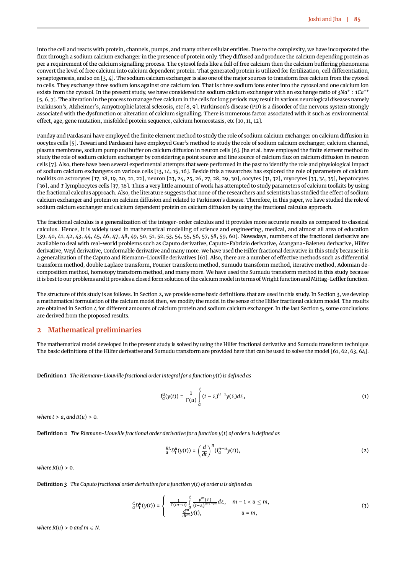into the cell and reacts with protein, channels, pumps, and many other cellular entities. Due to the complexity, we have incorporated the flux through a sodium calcium exchanger in the presence of protein only. They diffused and produce the calcium depending protein as per a requirement of the calcium signalling process. The cytosol feels like a full of free calcium then the calcium buffering phenomena convert the level of free calcium into calcium dependent protein. That generated protein is utilized for fertilization, cell differentiation, synaptogenesis, and so on [\[3,](#page-9-0) [4\]](#page-9-1). The sodium calcium exchanger is also one of the major sources to transform free calcium from the cytosol to cells. They exchange three sodium ions against one calcium ion. That is three sodium ions enter into the cytosol and one calcium ion exists from the cytosol. In the present study, we have considered the sodium calcium exchanger with an exchange ratio of 3Na<sup>+</sup> : 1Ca<sup>++</sup> [\[5,](#page-9-2) [6,](#page-9-3) [7\]](#page-9-4). The alteration in the process to manage free calcium in the cells for long periods may result in various neurological diseases namely Parkinson's, Alzheimer's, Amyotrophic lateral sclerosis, etc [\[8,](#page-9-5) [9\]](#page-9-6). Parkinson's disease (PD) is a disorder of the nervous system strongly associated with the dysfunction or alteration of calcium signalling. There is numerous factor associated with it such as environmental effect, age, gene mutation, misfolded protein sequence, calcium homeostasis, etc [\[10,](#page-9-7) [11,](#page-9-8) [12\]](#page-9-9).

Panday and Pardasani have employed the finite element method to study the role of sodium calcium exchanger on calcium diffusion in oocytes cells [\[5\]](#page-9-2). Tewari and Pardasani have employed Gear's method to study the role of sodium calcium exchanger, calcium channel, plasma membrane, sodium pump and buffer on calcium diffusion in neuron cells [\[6\]](#page-9-3). Jha et al. have employed the finite element method to study the role of sodium calcium exchanger by considering a point source and line source of calcium flux on calcium diffusion in neuron cells [\[7\]](#page-9-4). Also, there have been several experimental attempts that were performed in the past to identify the role and physiological impact of sodium calcium exchangers on various cells [\[13,](#page-9-10) [14,](#page-9-11) [15,](#page-9-12) [16\]](#page-9-13). Beside this a researches has explored the role of parameters of calcium toolkits on astrocytes [\[17,](#page-9-14) [18,](#page-9-15) [19,](#page-9-16) [20,](#page-9-17) [21,](#page-9-18) [22\]](#page-9-19), neuron [\[23,](#page-9-20) [24,](#page-9-21) [25,](#page-9-22) [26,](#page-9-23) [27,](#page-9-24) [28,](#page-9-25) [29,](#page-9-26) [30\]](#page-9-27), oocytes [\[31,](#page-9-28) [32\]](#page-9-29), myocytes [\[33,](#page-9-30) [34,](#page-9-31) [35\]](#page-9-32), hepatocytes [\[36\]](#page-9-33), and *T* lymphocytes cells [\[37,](#page-9-34) [38\]](#page-9-35). Thus a very little amount of work has attempted to study parameters of calcium toolkits by using the fractional calculus approach. Also, the literature suggests that none of the researchers and scientists has studied the effect of sodium calcium exchanger and protein on calcium diffusion and related to Parkinson's disease. Therefore, in this paper, we have studied the role of sodium calcium exchanger and calcium dependent protein on calcium diffusion by using the fractional calculus approach.

The fractional calculus is a generalization of the integer-order calculus and it provides more accurate results as compared to classical calculus. Hence, it is widely used in mathematical modelling of science and engineering, medical, and almost all area of education [\[39,](#page-10-1) [40,](#page-10-2) [41,](#page-10-3) [42,](#page-10-4) [43,](#page-10-5) [44,](#page-10-6) [45,](#page-10-7) [46,](#page-10-8) [47,](#page-10-9) [48,](#page-10-10) [49,](#page-10-11) [50,](#page-10-12) [51,](#page-10-13) [52,](#page-10-14) [53,](#page-10-15) [54,](#page-10-16) [55,](#page-10-17) [56,](#page-10-18) [57,](#page-10-19) [58,](#page-10-20) [59,](#page-10-21) [60\]](#page-10-22). Nowadays, numbers of the fractional derivative are available to deal with real-world problems such as Caputo derivative, Caputo-Fabrizio derivative, Atangana-Baleneu derivative, Hilfer derivative, Weyl derivative, Conformable derivative and many more. We have used the Hilfer fractional derivative in this study because it is a generalization of the Caputo and Riemann-Liouville derivatives [\[61\]](#page-10-23). Also, there are a number of effective methods such as differential transform method, double Laplace transform, Fourier transform method, Sumudu transform method, iterative method, Adomian decomposition method, homotopy transform method, and many more. We have used the Sumudu transform method in this study because it is best to our problems and it provides a closed form solution of the calcium model in terms of Wright function and Mittag-Leffler function.

The structure of this study is as follows. In Section [2,](#page-1-0) we provide some basic definitions that are used in this study. In Section [3,](#page-2-0) we develop a mathematical formulation of the calcium model then, we modify the model in the sense of the Hilfer fractional calcium model. The results are obtained in Section [4](#page-5-0) for different amounts of calcium protein and sodium calcium exchanger. In the last Section [5,](#page-8-2) some conclusions are derived from the proposed results.

## <span id="page-1-0"></span>**2 Mathematical preliminaries**

The mathematical model developed in the present study is solved by using the Hilfer fractional derivative and Sumudu transform technique. The basic definitions of the Hilfer derivative and Sumudu transform are provided here that can be used to solve the model [\[61,](#page-10-23) [62,](#page-10-24) [63,](#page-10-25) [64\]](#page-10-26).

**Definition 1** *The Riemann-Liouville fractional order integral for a function y*(*t*) *is defined as*

$$
I_d^u(y(t)) = \frac{1}{\Gamma(u)} \int_a^t (t - \xi)^{u-1} y(\xi) d\xi,
$$
\n(1)

*where*  $t > a$ *, and*  $R(u) > 0$ *.* 

**Definition 2** *The Riemann-Liouville fractional order derivative for a function y*(*t*) *of order u is defined as*

$$
{}_{a}^{RL}D_{t}^{u}(y(t)) = \left(\frac{d}{dt}\right)^{n}(I_{a}^{n-u}y(t)),\tag{2}
$$

*where R*(*u*) > 0.

**Definition 3** *The Caputo fractional order derivative for a function y*(*t*) *of order u is defined as*

$$
{}_{a}^{C}D_{t}^{u}(y(t)) = \begin{cases} \frac{1}{\Gamma(m-u)} \int_{a}^{t} \frac{y^{m}(\xi)}{(t-\xi)^{u+1-m}} d\xi, & m-1 < u \leq m, \\ \frac{d^{m}}{dt^{m}} y(t), & u = m, \end{cases}
$$
\n(3)

*where*  $R(u) > 0$  *and*  $m \in N$ .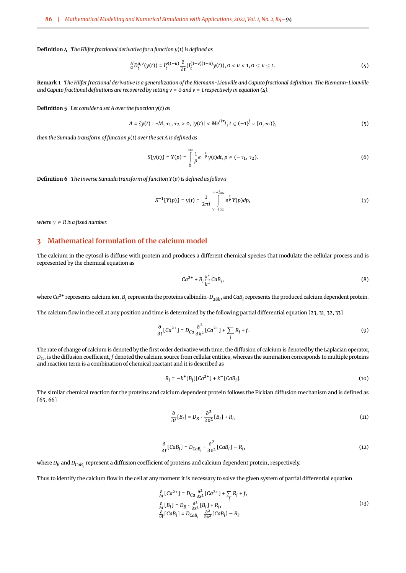**Definition 4** *The Hilfer fractional derivative for a function y*(*t*) *is defined as*

<span id="page-2-1"></span>
$$
\frac{H}{a}D_t^{u,v}(y(t)) = I_t^{v(1-u)}\frac{\partial}{\partial t}(I_t^{(1-v)(1-u)}y(t)), 0 < u < 1, 0 \le v \le 1.
$$
\n(4)

**Remark 1** *The Hilfer fractional derivative is a generalization of the Riemann-Liouville and Caputo fractional definition. The Riemann-Liouville and Caputo fractional definitions are recovered by setting v* = 0 *and v* = 1 *respectively in equation [\(4\)](#page-2-1).*

**Definition 5** *Let consider a set A over the function y*(*t*) *as*

$$
A = \{y(t) : \exists M, \tau_1, \tau_2 > 0, |y(t)| < Me^{t/\tau_j}, t \in (-1)^j \times [0, \infty)\},\tag{5}
$$

*then the Sumudu transform of function y*(*t*) *over the set A is defined as*

$$
S\{y(t)\} = Y(p) = \int_{0}^{\infty} \frac{1}{p} e^{-\frac{t}{p}} y(t) dt, p \in (-\tau_1, \tau_2).
$$
 (6)

**Definition 6** *The inverse Sumudu transform of function Y*(*p*) *is defined as follows*

$$
S^{-1}{Y(p)} = y(t) = \frac{1}{2\pi i} \int_{\gamma - i\infty}^{\gamma + i\infty} e^{\frac{t}{p}} Y(p) dp,
$$
 (7)

*where*  $\gamma \in R$  *is a fixed number.* 

## <span id="page-2-0"></span>**3 Mathematical formulation of the calcium model**

The calcium in the cytosol is diffuse with protein and produces a different chemical species that modulate the cellular process and is represented by the chemical equation as

$$
Ca^{2+} + B_i \underset{k \to}{\overset{k^+}{\mapsto}} CaB_i,\tag{8}
$$

where  $Ca^{2+}$  represents calcium ion,  $B_i$  represents the proteins calbindin- $D_{28k}$ , and  $CaB_i$  represents the produced calcium dependent protein.

The calcium flow in the cell at any position and time is determined by the following partial differential equation [\[23,](#page-9-20) [31,](#page-9-28) [32,](#page-9-29) [33\]](#page-9-30)

$$
\frac{\partial}{\partial t} [Ca^{2+}] = D_{Ca} \frac{\partial^2}{\partial x^2} [Ca^{2+}] + \sum_i R_i + f. \tag{9}
$$

The rate of change of calcium is denoted by the first order derivative with time, the diffusion of calcium is denoted by the Laplacian operator,  $D_{Ca}$  is the diffusion coefficient, *f* denoted the calcium source from cellular entities, whereas the summation corresponds to multiple proteins and reaction term is a combination of chemical reactant and it is described as

$$
R_i = -k^+[B_i][Ca^{2+}] + k^-[CaB_i].
$$
\n(10)

The similar chemical reaction for the proteins and calcium dependent protein follows the Fickian diffusion mechanism and is defined as [\[65,](#page-10-27) [66\]](#page-10-28)

<span id="page-2-2"></span>
$$
\frac{\partial}{\partial t}[B_i] = D_B \cdot \frac{\partial^2}{\partial x^2}[B_i] + R_i,\tag{11}
$$

$$
\frac{\partial}{\partial t} [CaB_i] = D_{CaB_i} \cdot \frac{\partial^2}{\partial x^2} [CaB_i] - R_i,
$$
\n(12)

where  $D_B$  and  $D_{\mathit{CaB}_i}$  represent a diffusion coefficient of proteins and calcium dependent protein, respectively.

Thus to identify the calcium flow in the cell at any moment it is necessary to solve the given system of partial differential equation

$$
\frac{\partial}{\partial t} [Ca^{2+}] = D_{Ca} \frac{\partial^2}{\partial x^2} [Ca^{2+}] + \sum_i R_i + f,
$$
\n
$$
\frac{\partial}{\partial t} [B_i] = D_B \cdot \frac{\partial^2}{\partial x^2} [B_i] + R_i,
$$
\n
$$
\frac{\partial}{\partial t} [CaB_i] = D_{CaB_i} \cdot \frac{\partial^2}{\partial x^2} [CaB_i] - R_i.
$$
\n(13)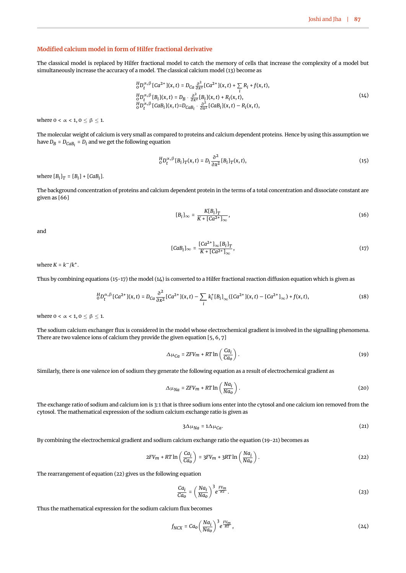#### **Modified calcium model in form of Hilfer fractional derivative**

The classical model is replaced by Hilfer fractional model to catch the memory of cells that increase the complexity of a model but simultaneously increase the accuracy of a model. The classical calcium model [\(13\)](#page-2-2) become as

<span id="page-3-2"></span>
$$
\begin{aligned}\n\frac{H}{0}D_t^{\alpha,\beta} [Ca^{2+}](x,t) &= D_{Ca} \frac{\partial^2}{\partial x^2} [Ca^{2+}](x,t) + \sum_i R_i + f(x,t), \\
\frac{H}{0}D_t^{\alpha,\beta} [B_i](x,t) &= D_B \cdot \frac{\partial^2}{\partial x^2} [B_i](x,t) + R_i(x,t), \\
\frac{H}{0}D_t^{\alpha,\beta} [CaB_i](x,t) &= D_{CaB_i} \cdot \frac{\partial^2}{\partial x^2} [CaB_i](x,t) - R_i(x,t),\n\end{aligned} \tag{14}
$$

where  $0 < \alpha < 1, 0 \le \beta \le 1$ .

The molecular weight of calcium is very small as compared to proteins and calcium dependent proteins. Hence by using this assumption we have  $D_B$  =  $D_{CaB_I}$  =  $D_i$  and we get the following equation

<span id="page-3-0"></span>
$$
{}_{0}^{H}D_{t}^{\alpha,\beta}[B_{i}]_{T}(x,t)=D_{i}\frac{\partial^{2}}{\partial x^{2}}[B_{i}]_{T}(x,t), \qquad (15)
$$

where  $[B_i]_T = [B_i] + [CaB_i]$ .

The background concentration of proteins and calcium dependent protein in the terms of a total concentration and dissociate constant are given as [\[66\]](#page-10-28)

$$
[B_i]_{\infty} = \frac{K[B_i]_T}{K + [Ca^{2+}]_{\infty}},\tag{16}
$$

<span id="page-3-1"></span>and

<span id="page-3-6"></span>
$$
[CaBi]_{\infty} = \frac{[Ca^{2+}]_{\infty}[B_i]_T}{K + [Ca^{2+}]_{\infty}},
$$
\n(17)

where  $K = k^-/k^+$ .

Thus by combining equations [\(15-](#page-3-0)[17\)](#page-3-1) the model [\(14\)](#page-3-2) is converted to a Hilfer fractional reaction diffusion equation which is given as

$$
{}_{0}^{H}D_{t}^{\alpha,\beta}[Ca^{2+}](x,t) = D_{Ca}\frac{\partial^{2}}{\partial x^{2}}[Ca^{2+}](x,t) - \sum_{i} k_{i}^{+}[B_{i}]_{\infty}([Ca^{2+}](x,t) - [Ca^{2+}]}_{\infty}) + f(x,t),
$$
\n(18)

where  $0 < \alpha < 1, 0 \leq \beta \leq 1$ .

The sodium calcium exchanger flux is considered in the model whose electrochemical gradient is involved in the signalling phenomena. There are two valence ions of calcium they provide the given equation [\[5,](#page-9-2) [6,](#page-9-3) [7\]](#page-9-4)

<span id="page-3-3"></span>
$$
\Delta \mu_{Ca} = ZFV_m + RT \ln \left( \frac{Ca_i}{Ca_0} \right). \tag{19}
$$

Similarly, there is one valence ion of sodium they generate the following equation as a result of electrochemical gradient as

$$
\Delta \mu_{Na} = ZFV_m + RT \ln \left( \frac{Na_i}{Na_o} \right). \tag{20}
$$

The exchange ratio of sodium and calcium ion is 3:1 that is three sodium ions enter into the cytosol and one calcium ion removed from the cytosol. The mathematical expression of the sodium calcium exchange ratio is given as

<span id="page-3-5"></span><span id="page-3-4"></span>
$$
3\Delta\mu_{Na} = 1\Delta\mu_{Ca}.\tag{21}
$$

By combining the electrochemical gradient and sodium calcium exchange ratio the equation [\(19-](#page-3-3)[21\)](#page-3-4) becomes as

$$
2FV_m + RT \ln \left(\frac{Ca_i}{Ca_0}\right) = 3FV_m + 3RT \ln \left(\frac{Na_i}{Na_0}\right). \tag{22}
$$

The rearrangement of equation [\(22\)](#page-3-5) gives us the following equation

$$
\frac{Ca_i}{Ca_0} = \left(\frac{Na_i}{Na_0}\right)^3 e^{\frac{FV_m}{RT}}.
$$
\n(23)

Thus the mathematical expression for the sodium calcium flux becomes

$$
f_{NCX} = Ca_0 \left(\frac{Na_i}{Na_0}\right)^3 e^{\frac{FV_m}{RT}},\tag{24}
$$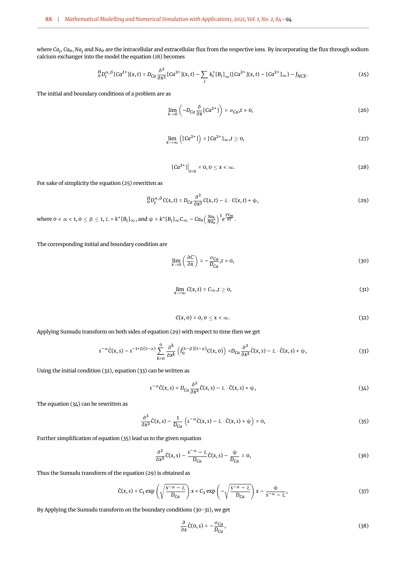where *Ca<sup>i</sup>* , *Cao*, *Na<sup>i</sup>* and *Nao* are the intracellular and extracellular flux from the respective ions. By incorporating the flux through sodium calcium exchanger into the model the equation [\(18\)](#page-3-6) becomes

$$
{}_{0}^{H}D_{t}^{\alpha,\beta}[Ca^{2+}](x,t) = D_{Ca}\frac{\partial^{2}}{\partial x^{2}}[Ca^{2+}](x,t) - \sum_{i}k_{i}^{+}[B_{i}]_{\infty}([Ca^{2+}](x,t) - [Ca^{2+}]}_{\infty}) - f_{NCX}.
$$
 (25)

The initial and boundary conditions of a problem are as

<span id="page-4-0"></span>
$$
\lim_{x \to 0} \left( -D_{Ca} \frac{\partial}{\partial x} [Ca^{2+}] \right) = \sigma_{Ca}, t > 0,
$$
\n(26)

$$
\lim_{x \to \infty} \left( [Ca^{2+}] \right) = [Ca^{2+}]_{\infty}, t \ge 0,
$$
\n(27)

<span id="page-4-1"></span>
$$
[Ca^{2+}]\Big|_{t=0} = 0, 0 \le x < \infty. \tag{28}
$$

For sake of simplicity the equation [\(25\)](#page-4-0) rewritten as

$$
{}_{0}^{H}D_{t}^{\alpha,\beta}C(x,t) = D_{Ca}\frac{\partial^{2}}{\partial x^{2}}C(x,t) - \xi \cdot C(x,t) + \psi,
$$
\n(29)

where  $0 < \alpha < 1, 0 \le \beta \le 1$ ,  $\xi = k^*[B_i]_\infty$ , and  $\psi = k^*[B_i]_\infty C_\infty - C a_0 \left(\frac{Na_i}{Na_0}\right)^3 e^{\frac{FV_m}{RT}}$ .

<span id="page-4-7"></span>The corresponding initial and boundary condition are

<span id="page-4-6"></span>
$$
\lim_{x \to 0} \left( \frac{\partial C}{\partial x} \right) = -\frac{\sigma_{Ca}}{D_{Ca}}, t > 0,
$$
\n(30)

$$
\lim_{x \to \infty} C(x, t) = C_{\infty}, t \ge 0,
$$
\n(31)

<span id="page-4-3"></span>
$$
C(x,0)=0, 0\leq x<\infty.
$$
\n(32)

<span id="page-4-2"></span>Applying Sumudu transform on both sides of equation [\(29\)](#page-4-1) with respect to time then we get

$$
s^{-\alpha}\bar{C}(x,s) - s^{-1+\beta(1-\alpha)}\sum_{k=0}^0 \frac{\partial^k}{\partial x^k} \left( I_0^{(1-\beta)(1-\alpha)}C(x,0) \right) = D_{Ca} \frac{\partial^2}{\partial x^2} \bar{C}(x,s) - \xi \cdot \bar{C}(x,s) + \psi,
$$
\n(33)

Using the initial condition [\(32\)](#page-4-2), equation [\(33\)](#page-4-3) can be written as

<span id="page-4-4"></span>
$$
s^{-\alpha}\bar{C}(x,s) = D_{Ca}\frac{\partial^2}{\partial x^2}\bar{C}(x,s) - \xi \cdot \bar{C}(x,s) + \psi,
$$
\n(34)

The equation [\(34\)](#page-4-4) can be rewritten as

<span id="page-4-5"></span>
$$
\frac{\partial^2}{\partial x^2}\tilde{C}(x,s) - \frac{1}{D_{Ca}}\left(s^{-\alpha}\tilde{C}(x,s) - \xi \cdot \tilde{C}(x,s) + \psi\right) = 0, \tag{35}
$$

Further simplification of equation [\(35\)](#page-4-5) lead us to the given equation

<span id="page-4-9"></span>
$$
\frac{\partial^2}{\partial x^2}\bar{C}(x,s) - \frac{s^{-\alpha} - \xi}{D_{Ca}}\bar{C}(x,s) - \frac{\psi}{D_{Ca}} = 0,
$$
\n(36)

Thus the Sumudu transform of the equation [\(29\)](#page-4-1) is obtained as

$$
\bar{C}(x,s) = C_1 \exp\left(\sqrt{\frac{s^{-\alpha} - \xi}{D_{Ca}}}\right) x + C_2 \exp\left(-\sqrt{\frac{s^{-\alpha} - \xi}{D_{Ca}}}\right) x - \frac{\psi}{s^{-\alpha} - \xi},\tag{37}
$$

By Applying the Sumudu transform on the boundary conditions [\(30-](#page-4-6)[31\)](#page-4-7), we get

<span id="page-4-8"></span>
$$
\frac{\partial}{\partial x}\bar{C}(0,s) = -\frac{\sigma_{Ca}}{D_{Ca}},\tag{38}
$$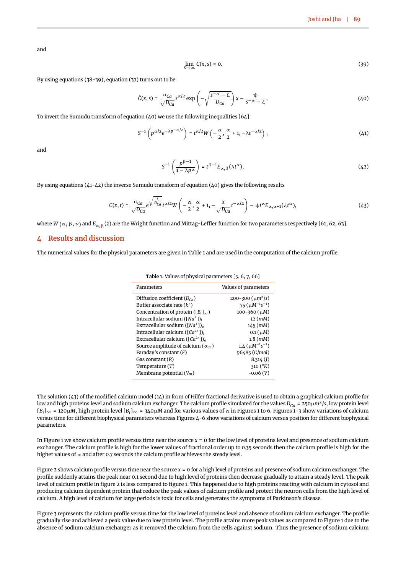<span id="page-5-1"></span>and

<span id="page-5-3"></span><span id="page-5-2"></span>
$$
\lim_{x \to \infty} \tilde{C}(x, s) = 0. \tag{39}
$$

By using equations [\(38-](#page-4-8)[39\)](#page-5-1), equation [\(37\)](#page-4-9) turns out to be

$$
\bar{C}(x,s) = \frac{\sigma_{Ca}}{\sqrt{D_{Ca}}} s^{\alpha/2} \exp\left(-\sqrt{\frac{s^{-\alpha} - \xi}{D_{Ca}}}\right) x - \frac{\psi}{s^{-\alpha} - \xi},\tag{40}
$$

To invert the Sumudu transform of equation  $(40)$  we use the following inequalities  $[64]$ 

$$
S^{-1}\left(p^{\alpha/2}e^{-\lambda p^{-\alpha/2}}\right) = t^{\alpha/2}W\left(-\frac{\alpha}{2}, \frac{\alpha}{2}+1, -\lambda t^{-\alpha/2}\right),\tag{41}
$$

<span id="page-5-4"></span>and

<span id="page-5-6"></span>
$$
S^{-1}\left(\frac{p^{\beta-1}}{1-\lambda p^{\alpha}}\right) = t^{\beta-1}E_{\alpha,\beta}(\lambda t^{\alpha}),\tag{42}
$$

By using equations  $(41-42)$  $(41-42)$  the inverse Sumudu transform of equation  $(40)$  gives the following results

$$
C(x,t) = \frac{\sigma_{Ca}}{\sqrt{D_{Ca}}} e^{\sqrt{\frac{\xi}{D_{Ca}}} t^{\alpha/2} W} \left( -\frac{\alpha}{2}, \frac{\alpha}{2} + 1, -\frac{x}{\sqrt{D_{Ca}}} t^{-\alpha/2} \right) - \psi t^{\alpha} E_{\alpha, \alpha+1}(\xi t^{\alpha}), \tag{43}
$$

where *W* ( $\alpha$ ,  $\beta$ ,  $\gamma$ ) and  $E_{\alpha}$ , $\beta$ (*z*) are the Wright function and Mittag-Leffler function for two parameters respectively [\[61,](#page-10-23) [62,](#page-10-24) [63\]](#page-10-25).

### <span id="page-5-0"></span>**4 Results and discussion**

<span id="page-5-5"></span>The numerical values for the physical parameters are given in Table [1](#page-5-5) and are used in the computation of the calcium profile.

| Parameters                                                     | Values of parameters        |
|----------------------------------------------------------------|-----------------------------|
| Diffusion coefficient $(D_{Ca})$                               | 200-300 $(\mu m^2/s)$       |
| Buffer associate rate $(k^+)$                                  | 75 $(\mu M^{-1} s^{-1})$    |
| Concentration of protein ( $[B_i]_{\infty}$ )                  | 100-360 $(\mu M)$           |
| Intracellular sodium $([Na^+])$                                | $12 \ (mM)$                 |
| Extracellular sodium ( $[Na^+]$ )                              | $145$ (mM)                  |
| Intracellular calcium ( $\lceil Ca^{2+} \rceil$ )              | 0.1 (µM)                    |
| Extracellular calcium ( $\lceil Ca^{2+} \rceil$ ) <sub>0</sub> | $1.8$ (mM)                  |
| Source amplitude of calcium ( $\sigma_{Ca}$ )                  | $1.4 \ (\mu M^{-1} s^{-1})$ |
| Faraday's constant $(F)$                                       | 96485 (C/mol)               |
| Gas constant $(R)$                                             | $8.314$ (1)                 |
| Temperature $(T)$                                              | 310 $(^{o}K)$               |
| Membrane potential $(V_m)$                                     | $-0.06(V)$                  |
|                                                                |                             |

**Table 1.** Values of physical parameters [\[5,](#page-9-2) [6,](#page-9-3) [7,](#page-9-4) [66\]](#page-10-28)

The solution [\(43\)](#page-5-6) of the modified calcium model [\(14\)](#page-3-2) in form of Hilfer fractional derivative is used to obtain a graphical calcium profile for low and high proteins level and sodium calcium exchanger. The calcium profile simulated for the values  $D_{Ca}$  = 250 $\mu$ m<sup>2</sup>/s, low protein level  $[B_i]_\infty = 120 \mu$  $[B_i]_\infty = 120 \mu$  $[B_i]_\infty = 120 \mu$ M, high protein level  $[B_i]_\infty = 340 \mu$  $[B_i]_\infty = 340 \mu$  $[B_i]_\infty = 340 \mu$ M and for various values of  $\alpha$  in Figures 1 to [6.](#page-8-3) Figures [1-](#page-6-0)3 show variations of calcium versus time for different biophysical parameters whereas Figures [4](#page-7-1)[-6](#page-8-3) show variations of calcium versus position for different biophysical parameters.

In Figure [1](#page-6-0) we show calcium profile versus time near the source *x* = 0 for the low level of proteins level and presence of sodium calcium exchanger. The calcium profile is high for the lower values of fractional order up to 0.35 seconds then the calcium profile is high for the higher values of  $\alpha$  and after 0.7 seconds the calcium profile achieves the steady level.

Figure [2](#page-6-1) shows calcium profile versus time near the source *x* = 0 for a high level of proteins and presence of sodium calcium exchanger. The profile suddenly attains the peak near 0.1 second due to high level of proteins then decrease gradually to attain a steady level. The peak level of calcium profile in figure [2](#page-6-1) is less compared to figure [1.](#page-6-0) This happened due to high proteins reacting with calcium in cytosol and producing calcium dependent protein that reduce the peak values of calcium profile and protect the neuron cells from the high level of calcium. A high level of calcium for large periods is toxic for cells and generates the symptoms of Parkinson's disease.

Figure [3](#page-7-0) represents the calcium profile versus time for the low level of proteins level and absence of sodium calcium exchanger. The profile gradually rise and achieved a peak value due to low protein level. The profile attains more peak values as compared to Figure [1](#page-6-0) due to the absence of sodium calcium exchanger as it removed the calcium from the cells against sodium. Thus the presence of sodium calcium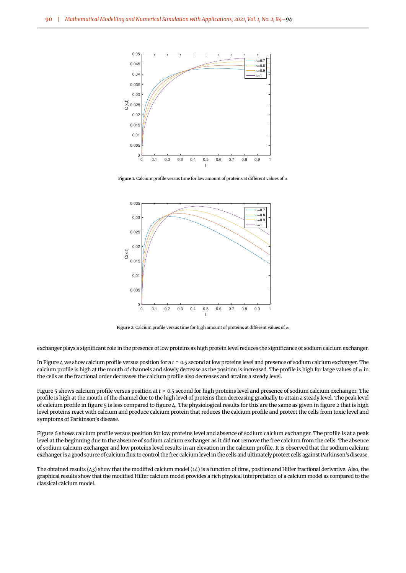<span id="page-6-0"></span>

<span id="page-6-1"></span>**Figure 1.** Calcium profile versus time for low amount of proteins at different values of α



**Figure 2.** Calcium profile versus time for high amount of proteins at different values of α

exchanger plays a significant role in the presence of low proteins as high protein level reduces the significance of sodium calcium exchanger.

In Figure [4](#page-7-1) we show calcium profile versus position for a *t* = 0.5 second at low proteins level and presence of sodium calcium exchanger. The calcium profile is high at the mouth of channels and slowly decrease as the position is increased. The profile is high for large values of  $\alpha$  in the cells as the fractional order decreases the calcium profile also decreases and attains a steady level.

Figure [5](#page-7-2) shows calcium profile versus position at *t* = 0.5 second for high proteins level and presence of sodium calcium exchanger. The profile is high at the mouth of the channel due to the high level of proteins then decreasing gradually to attain a steady level. The peak level of calcium profile in figure [5](#page-7-2) is less compared to figure [4.](#page-7-1) The physiological results for this are the same as given in figure [2](#page-6-1) that is high level proteins react with calcium and produce calcium protein that reduces the calcium profile and protect the cells from toxic level and symptoms of Parkinson's disease.

Figure [6](#page-8-3) shows calcium profile versus position for low proteins level and absence of sodium calcium exchanger. The profile is at a peak level at the beginning due to the absence of sodium calcium exchanger as it did not remove the free calcium from the cells. The absence of sodium calcium exchanger and low proteins level results in an elevation in the calcium profile. It is observed that the sodium calcium exchanger is a good source of calcium flux to control the free calcium level in the cells and ultimately protect cells against Parkinson's disease.

The obtained results [\(43\)](#page-5-6) show that the modified calcium model [\(14\)](#page-3-2) is a function of time, position and Hilfer fractional derivative. Also, the graphical results show that the modified Hilfer calcium model provides a rich physical interpretation of a calcium model as compared to the classical calcium model.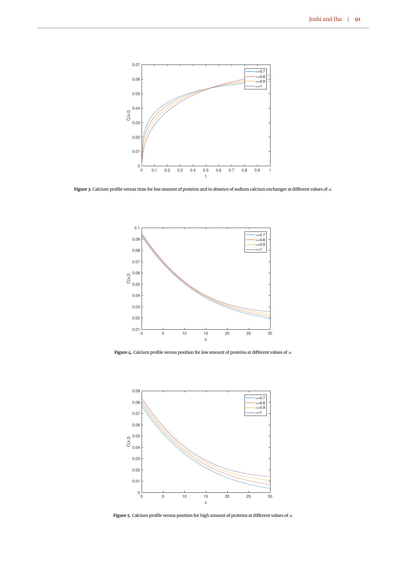<span id="page-7-0"></span>

<span id="page-7-1"></span>**Figure 3.** Calcium profile versus time for low amount of proteins and in absence of sodium calcium exchanger at different values of α



**Figure 4.** Calcium profile versus position for low amount of proteins at different values of  $\alpha$ 

<span id="page-7-2"></span>

**Figure 5.** Calcium profile versus position for high amount of proteins at different values of α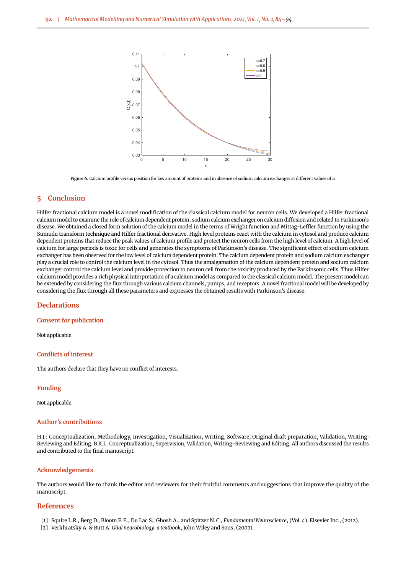<span id="page-8-3"></span>

**Figure 6.** Calcium profile versus position for low amount of proteins and in absence of sodium calcium exchanger at different values of α

## <span id="page-8-2"></span>**5 Conclusion**

Hilfer fractional calcium model is a novel modification of the classical calcium model for neuron cells. We developed a Hilfer fractional calcium model to examine the role of calcium dependent protein, sodium calcium exchanger on calcium diffusion and related to Parkinson's disease. We obtained a closed form solution of the calcium model in the terms of Wright function and Mittag-Leffler function by using the Sumudu transform technique and Hilfer fractional derivative. High level proteins react with the calcium in cytosol and produce calcium dependent proteins that reduce the peak values of calcium profile and protect the neuron cells from the high level of calcium. A high level of calcium for large periods is toxic for cells and generates the symptoms of Parkinson's disease. The significant effect of sodium calcium exchanger has been observed for the low level of calcium dependent protein. The calcium dependent protein and sodium calcium exchanger play a crucial role to control the calcium level in the cytosol. Thus the amalgamation of the calcium dependent protein and sodium calcium exchanger control the calcium level and provide protection to neuron cell from the toxicity produced by the Parkinsonic cells. Thus Hilfer calcium model provides a rich physical interpretation of a calcium model as compared to the classical calcium model. The present model can be extended by considering the flux through various calcium channels, pumps, and receptors. A novel fractional model will be developed by considering the flux through all these parameters and expresses the obtained results with Parkinson's disease.

## **Declarations**

#### **Consent for publication**

Not applicable.

#### **Conflicts of interest**

The authors declare that they have no conflict of interests.

#### **Funding**

Not applicable.

#### **Author's contributions**

H.J.: Conceptualization, Methodology, Investigation, Visualization, Writing, Software, Original draft preparation, Validation, Writing-Reviewing and Editing. B.K.J.: Conceptualization, Supervision, Validation, Writing-Reviewing and Editing. All authors discussed the results and contributed to the final manuscript.

#### **Acknowledgements**

The authors would like to thank the editor and reviewers for their fruitful comments and suggestions that improve the quality of the manuscript.

## **References**

- <span id="page-8-0"></span>[1] Squire L.R., Berg D., Bloom F. E., Du Lac S., Ghosh A., and Spitzer N. C., *Fundamental Neuroscience*, (Vol. 4). Elsevier Inc., (2012).
- <span id="page-8-1"></span>[2] Verkhratsky A. & Butt A. *Glial neurobiology: a textbook*, John Wiley and Sons, (2007).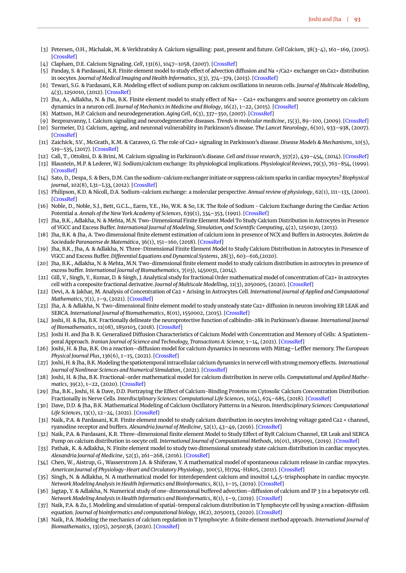- <span id="page-9-0"></span>[3] Petersen, O.H., Michalak, M. & Verkhratsky A. Calcium signalling: past, present and future. *Cell Calcium*, 38(3-4), 161–169, (2005). **[\[CrossRef\]](https://doi.org/10.1016/j.ceca.2005.06.023)**
- <span id="page-9-1"></span>[4] Clapham, D.E. Calcium Signaling. *Cell*, 131(6), 1047-1058, (2007). [\[CrossRef\]](https://doi.org/10.1016/j.cell.2007.11.028)
- <span id="page-9-2"></span>[5] Panday, S. & Pardasani, K.R. Finite element model to study effect of advection diffusion and Na +/Ca2+ exchanger on Ca2+ distribution in oocytes. *Journal of Medical Imaging and Health Informatics*, 3(3), 374–379, (2013). [\[CrossRef\]](https://doi.org/10.1166/jmihi.2013.1184)
- <span id="page-9-3"></span>[6] Tewari, S.G. & Pardasani, K.R. Modeling effect of sodium pump on calcium oscillations in neuron cells. *Journal of Multiscale Modelling*, 4(3), 1250010, (2012). [\[CrossRef\]](https://doi.org/10.1142/S1756973712500102)
- <span id="page-9-4"></span>[7] Jha, A., Adlakha, N. & Jha, B.K. Finite element model to study effect of Na+ - Ca2+ exchangers and source geometry on calcium dynamics in a neuron cell. *Journal of Mechanics in Medicine and Biology*, 16(2), 1–22, (2015). [\[CrossRef\]](https://doi.org/10.1142/S0219519416500184)
- <span id="page-9-5"></span>[8] Mattson, M.P. Calcium and neurodegeneration. *Aging Cell*, 6(3), 337–350, (2007). [\[CrossRef\]](https://doi.org/10.1111/j.1474-9726.2007.00275.x)
- <span id="page-9-6"></span>[9] Bezprozvanny, I. Calcium signaling and neurodegenerative diseases. *Trends in molecular medicine*, 15(3), 89–100, (2009). [\[CrossRef\]](https://doi.org/10.1016/j.molmed.2009.01.001)
- <span id="page-9-7"></span>[10] Surmeier, D.J. Calcium, ageing, and neuronal vulnerability in Parkinson's disease. *The Lancet Neurology*, 6(10), 933–938, (2007). [\[CrossRef\]](https://doi.org/10.1016/S1474-4422(07)70246-6)
- <span id="page-9-8"></span>[11] Zaichick, S.V., McGrath, K.M. & Caraveo, G. The role of Ca2+ signaling in Parkinson's disease. *Disease Models & Mechanisms*, 10(5), 519–535, (2017). [\[CrossRef\]](https://doi.org/10.1242/dmm.028738)
- <span id="page-9-9"></span>[12] Calì, T., Ottolini, D. & Brini, M. Calcium signaling in Parkinson's disease. *Cell and tissue research*, 357(2), 439–454, (2014). [\[CrossRef\]](https://doi.org/10.1007/s00441-014-1866-0)
- <span id="page-9-10"></span>[13] Blaustein, M.P. & Lederer, W.J. Sodium/calcium exchange: Its physiological implications. *Physiological Reviews*, 79(3), 763–854, (1999). [\[CrossRef\]](https://doi.org/10.1152/physrev.1999.79.3.763)
- <span id="page-9-11"></span>[14] Sato, D., Despa, S. & Bers, D.M. Can the sodium-calcium exchanger initiate or suppress calcium sparks in cardiac myocytes? *Biophysical journal*, 102(8), L31–L33, (2012). [\[CrossRef\]](https://doi.org/10.1016/j.bpj.2012.03.051)
- <span id="page-9-12"></span>[15] Philipson, K.D. & Nicoll, D.A. Sodium-calcium exchange: a molecular perspective. *Annual review of physiology*, 62(1), 111–133, (2000). [\[CrossRef\]](https://doi.org/10.1146/annurev.physiol.62.1.111)
- <span id="page-9-13"></span>[16] Noble, D., Noble, S.J., Bett, G.C.L., Earm, Y.E., Ho, W.K. & So, I.K. The Role of Sodium - Calcium Exchange during the Cardiac Action Potential a. *Annals of the New York Academy of Sciences*, 639(1), 334–353, (1991). [\[CrossRef\]](https://doi.org/10.1111/j.1749-6632.1991.tb17323.x)
- <span id="page-9-14"></span>[17] Jha, B.K., Adlakha, N. & Mehta, M.N. Two-Dimensional Finite Element Model To Study Calcium Distribution in Astrocytes in Presence of VGCC and Excess Buffer. *International Journal of Modeling, Simulation, and Scientific Computing*, 4(2), 1250030, (2013).
- <span id="page-9-15"></span>[18] Jha, B.K. & Jha, A. Two dimensional finite element estimation of calcium ions in presence of NCX and Buffers in Astrocytes. *Boletim da Sociedade Paranaense de Matemática*, 36(1), 151–160, (2018). [\[CrossRef\]](https://doi.org/10.5269/bspm.v36i1.29137)
- <span id="page-9-16"></span>[19] Jha, B.K., Jha, A. & Adlakha, N. Three-Dimensional Finite Element Model to Study Calcium Distribution in Astrocytes in Presence of VGCC and Excess Buffer. *Differential Equations and Dynamical Systems*, 28(3), 603–616,(2020).
- <span id="page-9-17"></span>[20] Jha, B.K., Adlakha, N. & Mehta, M.N. Two-dimensional finite element model to study calcium distribution in astrocytes in presence of excess buffer. *International Journal of Biomathematics*, 7(03), 1450031, (2014).
- <span id="page-9-18"></span>[21] Gill, V., Singh, Y., Kumar, D. & Singh, J. Analytical study for fractional Order mathematical model of concentration of Ca2+ in astrocytes cell with a composite fractional derivative. *Journal of Multiscale Modelling*, 11(3), 2050005, (2020). [\[CrossRef\]](https://doi.org/10.1142/S1756973720500055)
- <span id="page-9-19"></span>[22] Devi, A. & Jakhar, M. Analysis of Concentration of Ca2 + Arising in Astrocytes Cell. *International Journal of Applied and Computational Mathematics*, 7(1), 1–9, (2021). [\[CrossRef\]](https://doi.org/10.1007/s40819-020-00944-w)
- <span id="page-9-20"></span>[23] Jha, A. & Adlakha, N. Two-dimensional finite element model to study unsteady state Ca2+ diffusion in neuron involving ER LEAK and SERCA. *International Journal of Biomathematics*, 8(01), 1550002, (2015). [\[CrossRef\]](https://doi.org/10.1142/S1793524515500023)
- <span id="page-9-21"></span>[24] Joshi, H. & Jha, B.K. Fractionally delineate the neuroprotective function of calbindin-28k in Parkinson's disease. *International Journal of Biomathematics*, 11(08), 1850103, (2018). [\[CrossRef\]](https://doi.org/10.1142/S1793524518501036)
- <span id="page-9-22"></span>[25] Joshi H. and Jha B. K. Generalized Diffusion Characteristics of Calcium Model with Concentration and Memory of Cells: A Spatiotemporal Approach. *Iranian Journal of Science and Technology, Transactions A: Science,* 1–14, (2021). [\[CrossRef\]](https://doi.org/10.1007/s40995-021-01247-5)
- <span id="page-9-23"></span>[26] Joshi, H. & Jha, B.K. On a reaction–diffusion model for calcium dynamics in neurons with Mittag–Leffler memory. *The European Physical Journal Plus*, 136(6), 1–15, (2021). [\[CrossRef\]](https://doi.org/10.1140/epjp/s13360-021-01610-w)
- <span id="page-9-24"></span>[27] Joshi, H. & Jha, B.K. Modeling the spatiotemporal intracellular calcium dynamics in nerve cell with strong memory effects. *International Journal of Nonlinear Sciences and Numerical Simulation*, (2021). [\[CrossRef\]](https://doi.org/10.1515/ijnsns-2020-0254)
- <span id="page-9-25"></span>[28] Joshi, H. & Jha, B.K. Fractional-order mathematical model for calcium distribution in nerve cells. *Computational and Applied Mathematics*, 39(2), 1–22, (2020). [\[CrossRef\]](https://doi.org/10.1007/s40314-020-1082-3)
- <span id="page-9-26"></span>[29] Jha, B.K., Joshi, H. & Dave, D.D. Portraying the Effect of Calcium-Binding Proteins on Cytosolic Calcium Concentration Distribution Fractionally in Nerve Cells. *Interdisciplinary Sciences: Computational Life Sciences*, 10(4), 674–685, (2018). [\[CrossRef\]](https://doi.org/10.1007/s12539-016-0202-7)
- <span id="page-9-27"></span>[30] Dave, D.D. & Jha, B.K. Mathematical Modeling of Calcium Oscillatory Patterns in a Neuron. *Interdisciplinary Sciences: Computational Life Sciences*, 13(1), 12–24, (2021). [\[CrossRef\]](https://doi.org/10.1007/s12539-020-00401-8)
- <span id="page-9-28"></span>[31] Naik, P.A. & Pardasani, K.R. Finite element model to study calcium distribution in oocytes involving voltage gated Ca2 + channel, ryanodine receptor and buffers. *Alexandria Journal of Medicine*, 52(1), 43–49, (2016). [\[CrossRef\]](https://doi.org/10.1016/j.ajme.2015.02.002)
- <span id="page-9-29"></span>[32] Naik, P.A. & Pardasani, K.R. Three-dimensional finite element Model to Study Effect of RyR Calcium Channel, ER Leak and SERCA Pump on calcium distribution in oocyte cell. *International Journal of Computational Methods*, 16(01), 1850091, (2019). [\[CrossRef\]](https://doi.org/10.1142/S0219876218500913)
- <span id="page-9-30"></span>[33] Pathak, K. & Adlakha, N. Finite element model to study two dimensional unsteady state calcium distribution in cardiac myocytes. *Alexandria Journal of Medicine*, 52(3), 261–268, (2016). [\[CrossRef\]](https://doi.org/10.1016/j.ajme.2015.09.007)
- <span id="page-9-31"></span>[34] Chen, W., Aistrup, G., Wasserstrom J.A. & Shiferaw, Y. A mathematical model of spontaneous calcium release in cardiac myocytes. *American Journal of Physiology-Heart and Circulatory Physiology*, 300(5), H1794-H1805, (2011). [\[CrossRef\]](https://doi.org/10.1152/ajpheart.01121.2010)
- <span id="page-9-32"></span>[35] Singh, N. & Adlakha, N. A mathematical model for interdependent calcium and inositol 1,4,5-trisphosphate in cardiac myocyte. *Network Modeling Analysis in Health Informatics and Bioinformatics*, 8(1), 1–15, (2019). [\[CrossRef\]](https://doi.org/10.1007/s13721-019-0198-0)
- <span id="page-9-33"></span>[36] Jagtap, Y. & Adlakha, N. Numerical study of one-dimensional buffered advection–diffusion of calcium and IP 3 in a hepatocyte cell. *Network Modeling Analysis in Health Informatics and Bioinformatics*, 8(1), 1–9, (2019). [\[CrossRef\]](https://doi.org/10.1007/s13721-019-0205-5)
- <span id="page-9-34"></span>[37] Naik, P.A. & Zu, J. Modeling and simulation of spatial-temporal calcium distribution in T lymphocyte cell by using a reaction-diffusion equation. *Journal of bioinformatics and computational biology*, 18(2), 2050013, (2020). [\[CrossRef\]](https://doi.org/10.1142/S0219720020500134)
- <span id="page-9-35"></span>[38] Naik, P.A. Modeling the mechanics of calcium regulation in T lymphocyte: A finite element method approach. *International Journal of Biomathematics*, 13(05), 2050038, (2020). [\[CrossRef\]](https://doi.org/10.1142/S1793524520500382)